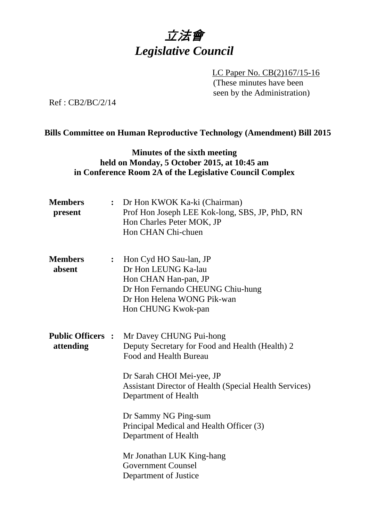

LC Paper No. CB(2)167/15-16 (These minutes have been seen by the Administration)

Ref : CB2/BC/2/14

### **Bills Committee on Human Reproductive Technology (Amendment) Bill 2015**

### **Minutes of the sixth meeting held on Monday, 5 October 2015, at 10:45 am in Conference Room 2A of the Legislative Council Complex**

| <b>Members</b><br>present             |                | : Dr Hon KWOK Ka-ki (Chairman)<br>Prof Hon Joseph LEE Kok-long, SBS, JP, PhD, RN<br>Hon Charles Peter MOK, JP<br>Hon CHAN Chi-chuen                           |
|---------------------------------------|----------------|---------------------------------------------------------------------------------------------------------------------------------------------------------------|
| <b>Members</b><br>absent              | $\ddot{\cdot}$ | Hon Cyd HO Sau-lan, JP<br>Dr Hon LEUNG Ka-lau<br>Hon CHAN Han-pan, JP<br>Dr Hon Fernando CHEUNG Chiu-hung<br>Dr Hon Helena WONG Pik-wan<br>Hon CHUNG Kwok-pan |
| <b>Public Officers :</b><br>attending |                | Mr Davey CHUNG Pui-hong<br>Deputy Secretary for Food and Health (Health) 2<br>Food and Health Bureau                                                          |
|                                       |                | Dr Sarah CHOI Mei-yee, JP<br><b>Assistant Director of Health (Special Health Services)</b><br>Department of Health                                            |
|                                       |                | Dr Sammy NG Ping-sum<br>Principal Medical and Health Officer (3)<br>Department of Health                                                                      |
|                                       |                | Mr Jonathan LUK King-hang<br><b>Government Counsel</b><br>Department of Justice                                                                               |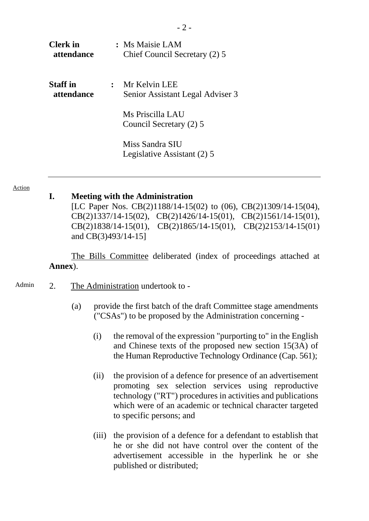| <b>Clerk</b> in<br>attendance |           | : Ms Maisie LAM<br>Chief Council Secretary (2) 5  |
|-------------------------------|-----------|---------------------------------------------------|
| <b>Staff</b> in<br>attendance | $\cdot$ . | Mr Kelvin LEE<br>Senior Assistant Legal Adviser 3 |
|                               |           | Ms Priscilla LAU<br>Council Secretary (2) 5       |
|                               |           | Miss Sandra SIU<br>Legislative Assistant (2) 5    |

Action

#### **I. Meeting with the Administration**

[LC Paper Nos. [CB\(2\)1188/14-15\(02\)](http://www.legco.gov.hk/yr14-15/english/bc/bc52/papers/bc5220150409cb2-1188-2-e.pdf) to (06), CB(2)1309/14-15(04), CB(2)1337/14-15(02), CB(2)1426/14-15(01), CB(2)1561/14-15(01), CB(2)1838/14-15(01), CB(2)1865/14-15(01), CB(2)2153/14-15(01) and [CB\(3\)493/14-15\]](http://www.legco.gov.hk/yr14-15/english/bills/b201503061.pdf)

The Bills Committee deliberated (index of proceedings attached at **Annex**).

- Admin 2. The Administration undertook to -
	- (a) provide the first batch of the draft Committee stage amendments ("CSAs") to be proposed by the Administration concerning -
		- (i) the removal of the expression "purporting to" in the English and Chinese texts of the proposed new section 15(3A) of the Human Reproductive Technology Ordinance (Cap. 561);
		- (ii) the provision of a defence for presence of an advertisement promoting sex selection services using reproductive technology ("RT") procedures in activities and publications which were of an academic or technical character targeted to specific persons; and
		- (iii) the provision of a defence for a defendant to establish that he or she did not have control over the content of the advertisement accessible in the hyperlink he or she published or distributed;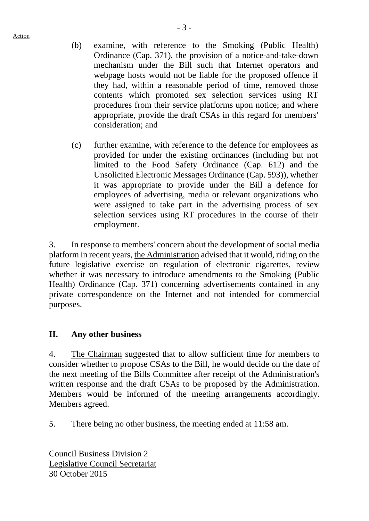Action

- (b) examine, with reference to the Smoking (Public Health) Ordinance (Cap. 371), the provision of a notice-and-take-down mechanism under the Bill such that Internet operators and webpage hosts would not be liable for the proposed offence if they had, within a reasonable period of time, removed those contents which promoted sex selection services using RT procedures from their service platforms upon notice; and where appropriate, provide the draft CSAs in this regard for members' consideration; and
- (c) further examine, with reference to the defence for employees as provided for under the existing ordinances (including but not limited to the Food Safety Ordinance (Cap. 612) and the Unsolicited Electronic Messages Ordinance (Cap. 593)), whether it was appropriate to provide under the Bill a defence for employees of advertising, media or relevant organizations who were assigned to take part in the advertising process of sex selection services using RT procedures in the course of their employment.

3. In response to members' concern about the development of social media platform in recent years, the Administration advised that it would, riding on the future legislative exercise on regulation of electronic cigarettes, review whether it was necessary to introduce amendments to the Smoking (Public Health) Ordinance (Cap. 371) concerning advertisements contained in any private correspondence on the Internet and not intended for commercial purposes.

# **II. Any other business**

4. The Chairman suggested that to allow sufficient time for members to consider whether to propose CSAs to the Bill, he would decide on the date of the next meeting of the Bills Committee after receipt of the Administration's written response and the draft CSAs to be proposed by the Administration. Members would be informed of the meeting arrangements accordingly. Members agreed.

5. There being no other business, the meeting ended at 11:58 am.

Council Business Division 2 Legislative Council Secretariat 30 October 2015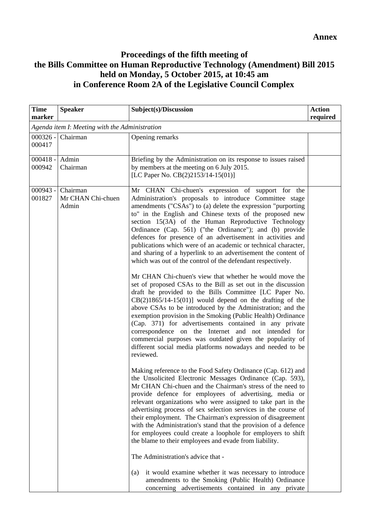# **Proceedings of the fifth meeting of the Bills Committee on Human Reproductive Technology (Amendment) Bill 2015 held on Monday, 5 October 2015, at 10:45 am in Conference Room 2A of the Legislative Council Complex**

| <b>Time</b><br>marker                          | <b>Speaker</b>                         | Subject(s)/Discussion                                                                                                                                                                                                                                                                                                                                                                                                                                                                                                                                                                                                                                                                                                                                                                                                                                                                                                                                                                                                                                                                                                                                                                                                                                                                                                                                                                                                                                                                                                                                                                                                                                                                                                                                                                                                                                                                                                                                                                                                                                                                   | <b>Action</b><br>required |
|------------------------------------------------|----------------------------------------|-----------------------------------------------------------------------------------------------------------------------------------------------------------------------------------------------------------------------------------------------------------------------------------------------------------------------------------------------------------------------------------------------------------------------------------------------------------------------------------------------------------------------------------------------------------------------------------------------------------------------------------------------------------------------------------------------------------------------------------------------------------------------------------------------------------------------------------------------------------------------------------------------------------------------------------------------------------------------------------------------------------------------------------------------------------------------------------------------------------------------------------------------------------------------------------------------------------------------------------------------------------------------------------------------------------------------------------------------------------------------------------------------------------------------------------------------------------------------------------------------------------------------------------------------------------------------------------------------------------------------------------------------------------------------------------------------------------------------------------------------------------------------------------------------------------------------------------------------------------------------------------------------------------------------------------------------------------------------------------------------------------------------------------------------------------------------------------------|---------------------------|
| Agenda item I: Meeting with the Administration |                                        |                                                                                                                                                                                                                                                                                                                                                                                                                                                                                                                                                                                                                                                                                                                                                                                                                                                                                                                                                                                                                                                                                                                                                                                                                                                                                                                                                                                                                                                                                                                                                                                                                                                                                                                                                                                                                                                                                                                                                                                                                                                                                         |                           |
| 000417                                         | 000326 - Chairman                      | Opening remarks                                                                                                                                                                                                                                                                                                                                                                                                                                                                                                                                                                                                                                                                                                                                                                                                                                                                                                                                                                                                                                                                                                                                                                                                                                                                                                                                                                                                                                                                                                                                                                                                                                                                                                                                                                                                                                                                                                                                                                                                                                                                         |                           |
| $000418 -$<br>000942                           | Admin<br>Chairman                      | Briefing by the Administration on its response to issues raised<br>by members at the meeting on 6 July 2015.<br>[LC Paper No. CB(2)2153/14-15(01)]                                                                                                                                                                                                                                                                                                                                                                                                                                                                                                                                                                                                                                                                                                                                                                                                                                                                                                                                                                                                                                                                                                                                                                                                                                                                                                                                                                                                                                                                                                                                                                                                                                                                                                                                                                                                                                                                                                                                      |                           |
| $000943 -$<br>001827                           | Chairman<br>Mr CHAN Chi-chuen<br>Admin | Mr CHAN Chi-chuen's expression of support for the<br>Administration's proposals to introduce Committee stage<br>amendments ("CSAs") to (a) delete the expression "purporting<br>to" in the English and Chinese texts of the proposed new<br>section 15(3A) of the Human Reproductive Technology<br>Ordinance (Cap. 561) ("the Ordinance"); and (b) provide<br>defences for presence of an advertisement in activities and<br>publications which were of an academic or technical character,<br>and sharing of a hyperlink to an advertisement the content of<br>which was out of the control of the defendant respectively.<br>Mr CHAN Chi-chuen's view that whether he would move the<br>set of proposed CSAs to the Bill as set out in the discussion<br>draft he provided to the Bills Committee [LC Paper No.<br>$CB(2)1865/14-15(01)$ ] would depend on the drafting of the<br>above CSAs to be introduced by the Administration; and the<br>exemption provision in the Smoking (Public Health) Ordinance<br>(Cap. 371) for advertisements contained in any private<br>correspondence on the Internet and not intended for<br>commercial purposes was outdated given the popularity of<br>different social media platforms nowadays and needed to be<br>reviewed.<br>Making reference to the Food Safety Ordinance (Cap. 612) and<br>the Unsolicited Electronic Messages Ordinance (Cap. 593),<br>Mr CHAN Chi-chuen and the Chairman's stress of the need to<br>provide defence for employees of advertising, media or<br>relevant organizations who were assigned to take part in the<br>advertising process of sex selection services in the course of<br>their employment. The Chairman's expression of disagreement<br>with the Administration's stand that the provision of a defence<br>for employees could create a loophole for employers to shift<br>the blame to their employees and evade from liability.<br>The Administration's advice that -<br>it would examine whether it was necessary to introduce<br>(a)<br>amendments to the Smoking (Public Health) Ordinance |                           |
|                                                |                                        | concerning advertisements contained in any private                                                                                                                                                                                                                                                                                                                                                                                                                                                                                                                                                                                                                                                                                                                                                                                                                                                                                                                                                                                                                                                                                                                                                                                                                                                                                                                                                                                                                                                                                                                                                                                                                                                                                                                                                                                                                                                                                                                                                                                                                                      |                           |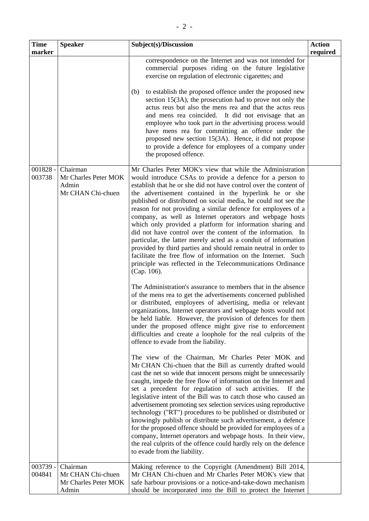| <b>Time</b><br>marker            | <b>Speaker</b>                                                             | Subject(s)/Discussion                                                                                                                                                                                                                                                                                                                                                                                                                                                                                                                                                                                                                                                                                                                                                                                                                                                                                                                                                                                                                                                                                                                                                                                                                                                                                                                                                                                                                                                                                                                                                                                                                                                                                                                                                                                                                                                                                                                                                                                                                                                                                                                                                                                                           | <b>Action</b><br>required |
|----------------------------------|----------------------------------------------------------------------------|---------------------------------------------------------------------------------------------------------------------------------------------------------------------------------------------------------------------------------------------------------------------------------------------------------------------------------------------------------------------------------------------------------------------------------------------------------------------------------------------------------------------------------------------------------------------------------------------------------------------------------------------------------------------------------------------------------------------------------------------------------------------------------------------------------------------------------------------------------------------------------------------------------------------------------------------------------------------------------------------------------------------------------------------------------------------------------------------------------------------------------------------------------------------------------------------------------------------------------------------------------------------------------------------------------------------------------------------------------------------------------------------------------------------------------------------------------------------------------------------------------------------------------------------------------------------------------------------------------------------------------------------------------------------------------------------------------------------------------------------------------------------------------------------------------------------------------------------------------------------------------------------------------------------------------------------------------------------------------------------------------------------------------------------------------------------------------------------------------------------------------------------------------------------------------------------------------------------------------|---------------------------|
|                                  |                                                                            | correspondence on the Internet and was not intended for<br>commercial purposes riding on the future legislative<br>exercise on regulation of electronic cigarettes; and<br>to establish the proposed offence under the proposed new<br>(b)<br>section 15(3A), the prosecution had to prove not only the<br>actus reus but also the mens rea and that the actus reus<br>and mens rea coincided. It did not envisage that an<br>employee who took part in the advertising process would<br>have mens rea for committing an offence under the<br>proposed new section $15(3A)$ . Hence, it did not propose<br>to provide a defence for employees of a company under<br>the proposed offence.                                                                                                                                                                                                                                                                                                                                                                                                                                                                                                                                                                                                                                                                                                                                                                                                                                                                                                                                                                                                                                                                                                                                                                                                                                                                                                                                                                                                                                                                                                                                       |                           |
| $001828 -$<br>003738<br>003739 - | Chairman<br>Mr Charles Peter MOK<br>Admin<br>Mr CHAN Chi-chuen<br>Chairman | Mr Charles Peter MOK's view that while the Administration<br>would introduce CSAs to provide a defence for a person to<br>establish that he or she did not have control over the content of<br>the advertisement contained in the hyperlink he or she<br>published or distributed on social media, he could not see the<br>reason for not providing a similar defence for employees of a<br>company, as well as Internet operators and webpage hosts<br>which only provided a platform for information sharing and<br>did not have control over the content of the information. In<br>particular, the latter merely acted as a conduit of information<br>provided by third parties and should remain neutral in order to<br>facilitate the free flow of information on the Internet. Such<br>principle was reflected in the Telecommunications Ordinance<br>(Cap. 106).<br>The Administration's assurance to members that in the absence<br>of the mens rea to get the advertisements concerned published<br>or distributed, employees of advertising, media or relevant<br>organizations, Internet operators and webpage hosts would not<br>be held liable. However, the provision of defences for them<br>under the proposed offence might give rise to enforcement<br>difficulties and create a loophole for the real culprits of the<br>offence to evade from the liability.<br>The view of the Chairman, Mr Charles Peter MOK and<br>Mr CHAN Chi-chuen that the Bill as currently drafted would<br>cast the net so wide that innocent persons might be unnecessarily<br>caught, impede the free flow of information on the Internet and<br>set a precedent for regulation of such activities.<br>If the<br>legislative intent of the Bill was to catch those who caused an<br>advertisement promoting sex selection services using reproductive<br>technology ("RT") procedures to be published or distributed or<br>knowingly publish or distribute such advertisement, a defence<br>for the proposed offence should be provided for employees of a<br>company, Internet operators and webpage hosts. In their view,<br>the real culprits of the offence could hardly rely on the defence<br>to evade from the liability. |                           |
| 004841                           | Mr CHAN Chi-chuen<br>Mr Charles Peter MOK<br>Admin                         | Making reference to the Copyright (Amendment) Bill 2014,<br>Mr CHAN Chi-chuen and Mr Charles Peter MOK's view that<br>safe harbour provisions or a notice-and-take-down mechanism<br>should be incorporated into the Bill to protect the Internet                                                                                                                                                                                                                                                                                                                                                                                                                                                                                                                                                                                                                                                                                                                                                                                                                                                                                                                                                                                                                                                                                                                                                                                                                                                                                                                                                                                                                                                                                                                                                                                                                                                                                                                                                                                                                                                                                                                                                                               |                           |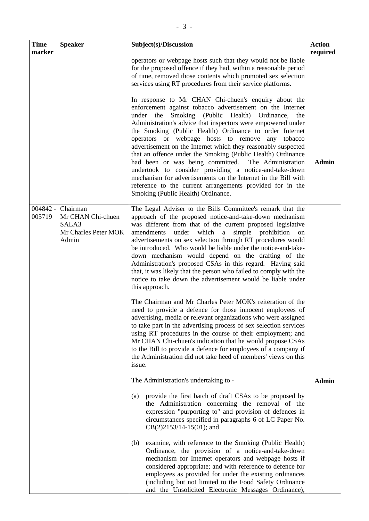| <b>Time</b>          | <b>Speaker</b>                                                          | Subject(s)/Discussion                                                                                                                                                                                                                                                                                                                                                                                                                                                                                                                                                                                                                                                                                                                                                                    | <b>Action</b> |
|----------------------|-------------------------------------------------------------------------|------------------------------------------------------------------------------------------------------------------------------------------------------------------------------------------------------------------------------------------------------------------------------------------------------------------------------------------------------------------------------------------------------------------------------------------------------------------------------------------------------------------------------------------------------------------------------------------------------------------------------------------------------------------------------------------------------------------------------------------------------------------------------------------|---------------|
| marker               |                                                                         | operators or webpage hosts such that they would not be liable<br>for the proposed offence if they had, within a reasonable period<br>of time, removed those contents which promoted sex selection<br>services using RT procedures from their service platforms.                                                                                                                                                                                                                                                                                                                                                                                                                                                                                                                          | required      |
|                      |                                                                         | In response to Mr CHAN Chi-chuen's enquiry about the<br>enforcement against tobacco advertisement on the Internet<br>Smoking (Public Health)<br>the<br>Ordinance,<br>under<br>the<br>Administration's advice that inspectors were empowered under<br>the Smoking (Public Health) Ordinance to order Internet<br>operators or webpage hosts to remove<br>any tobacco<br>advertisement on the Internet which they reasonably suspected<br>that an offence under the Smoking (Public Health) Ordinance<br>had been or was being committed. The Administration<br>undertook to consider providing a notice-and-take-down<br>mechanism for advertisements on the Internet in the Bill with<br>reference to the current arrangements provided for in the<br>Smoking (Public Health) Ordinance. | <b>Admin</b>  |
| $004842 -$<br>005719 | Chairman<br>Mr CHAN Chi-chuen<br>SALA3<br>Mr Charles Peter MOK<br>Admin | The Legal Adviser to the Bills Committee's remark that the<br>approach of the proposed notice-and-take-down mechanism<br>was different from that of the current proposed legislative<br>amendments<br>under which a<br>simple prohibition<br>on<br>advertisements on sex selection through RT procedures would<br>be introduced. Who would be liable under the notice-and-take-<br>down mechanism would depend on the drafting of the<br>Administration's proposed CSAs in this regard. Having said<br>that, it was likely that the person who failed to comply with the<br>notice to take down the advertisement would be liable under<br>this approach.                                                                                                                                |               |
|                      |                                                                         | The Chairman and Mr Charles Peter MOK's reiteration of the<br>need to provide a defence for those innocent employees of<br>advertising, media or relevant organizations who were assigned<br>to take part in the advertising process of sex selection services<br>using RT procedures in the course of their employment; and<br>Mr CHAN Chi-chuen's indication that he would propose CSAs<br>to the Bill to provide a defence for employees of a company if<br>the Administration did not take heed of members' views on this<br>issue.                                                                                                                                                                                                                                                  |               |
|                      |                                                                         | The Administration's undertaking to -                                                                                                                                                                                                                                                                                                                                                                                                                                                                                                                                                                                                                                                                                                                                                    | <b>Admin</b>  |
|                      |                                                                         | provide the first batch of draft CSAs to be proposed by<br>(a)<br>the Administration concerning the removal of the<br>expression "purporting to" and provision of defences in<br>circumstances specified in paragraphs 6 of LC Paper No.<br>$CB(2)2153/14-15(01)$ ; and                                                                                                                                                                                                                                                                                                                                                                                                                                                                                                                  |               |
|                      |                                                                         | examine, with reference to the Smoking (Public Health)<br>(b)<br>Ordinance, the provision of a notice-and-take-down                                                                                                                                                                                                                                                                                                                                                                                                                                                                                                                                                                                                                                                                      |               |

mechanism for Internet operators and webpage hosts if considered appropriate; and with reference to defence for employees as provided for under the existing ordinances (including but not limited to the Food Safety Ordinance and the Unsolicited Electronic Messages Ordinance),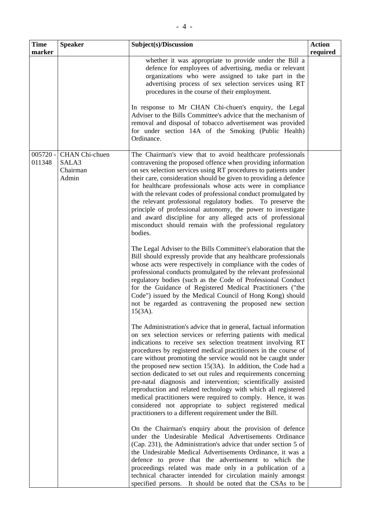| <b>Speaker</b>                                                                                                                                                                                                                                                                                                                                                                                                                                                                                                                                                                                                                                                                                                         | Subject(s)/Discussion                                                                                                                                                                                                                                                                                                                                                                                                                                                                                                                    | <b>Action</b><br>required |
|------------------------------------------------------------------------------------------------------------------------------------------------------------------------------------------------------------------------------------------------------------------------------------------------------------------------------------------------------------------------------------------------------------------------------------------------------------------------------------------------------------------------------------------------------------------------------------------------------------------------------------------------------------------------------------------------------------------------|------------------------------------------------------------------------------------------------------------------------------------------------------------------------------------------------------------------------------------------------------------------------------------------------------------------------------------------------------------------------------------------------------------------------------------------------------------------------------------------------------------------------------------------|---------------------------|
|                                                                                                                                                                                                                                                                                                                                                                                                                                                                                                                                                                                                                                                                                                                        | whether it was appropriate to provide under the Bill a<br>defence for employees of advertising, media or relevant<br>organizations who were assigned to take part in the<br>advertising process of sex selection services using RT<br>procedures in the course of their employment.                                                                                                                                                                                                                                                      |                           |
|                                                                                                                                                                                                                                                                                                                                                                                                                                                                                                                                                                                                                                                                                                                        | In response to Mr CHAN Chi-chuen's enquiry, the Legal<br>Adviser to the Bills Committee's advice that the mechanism of<br>removal and disposal of tobacco advertisement was provided<br>for under section 14A of the Smoking (Public Health)<br>Ordinance.                                                                                                                                                                                                                                                                               |                           |
| CHAN Chi-chuen<br>The Chairman's view that to avoid healthcare professionals<br>SALA3<br>contravening the proposed offence when providing information<br>Chairman<br>on sex selection services using RT procedures to patients under<br>Admin<br>their care, consideration should be given to providing a defence<br>for healthcare professionals whose acts were in compliance<br>with the relevant codes of professional conduct promulgated by<br>the relevant professional regulatory bodies. To preserve the<br>principle of professional autonomy, the power to investigate<br>and award discipline for any alleged acts of professional<br>misconduct should remain with the professional regulatory<br>bodies. |                                                                                                                                                                                                                                                                                                                                                                                                                                                                                                                                          |                           |
|                                                                                                                                                                                                                                                                                                                                                                                                                                                                                                                                                                                                                                                                                                                        | The Legal Adviser to the Bills Committee's elaboration that the<br>Bill should expressly provide that any healthcare professionals<br>whose acts were respectively in compliance with the codes of<br>professional conducts promulgated by the relevant professional<br>regulatory bodies (such as the Code of Professional Conduct<br>for the Guidance of Registered Medical Practitioners ("the<br>Code") issued by the Medical Council of Hong Kong) should<br>not be regarded as contravening the proposed new section<br>$15(3A)$ . |                           |
|                                                                                                                                                                                                                                                                                                                                                                                                                                                                                                                                                                                                                                                                                                                        | The Administration's advice that in general, factual information<br>on sex selection services or referring patients with medical<br>indications to receive sex selection treatment involving RT                                                                                                                                                                                                                                                                                                                                          |                           |

indications to receive sex selection treatment involving RT procedures by registered medical practitioners in the course of care without promoting the service would not be caught under the proposed new section 15(3A). In addition, the Code had a section dedicated to set out rules and requirements concerning pre-natal diagnosis and intervention; scientifically assisted reproduction and related technology with which all registered medical practitioners were required to comply. Hence, it was considered not appropriate to subject registered medical practitioners to a different requirement under the Bill.

On the Chairman's enquiry about the provision of defence under the Undesirable Medical Advertisements Ordinance (Cap. 231), the Administration's advice that under section 5 of the Undesirable Medical Advertisements Ordinance, it was a defence to prove that the advertisement to which the proceedings related was made only in a publication of a technical character intended for circulation mainly amongst specified persons. It should be noted that the CSAs to be

**Time marker**

005720 - 011348